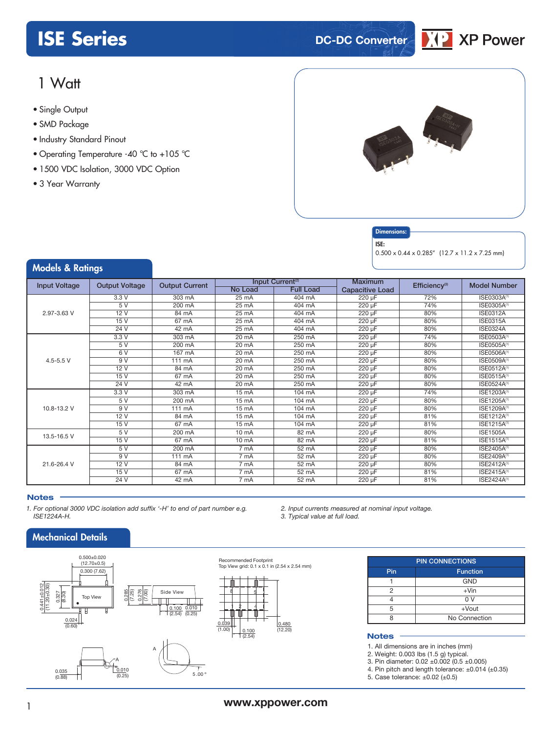# **ISE** Series **DC-DC** Converter



# 1 Watt

- **xxx Series** Single Output
- SMD Package
- Industry Standard Pinout
- Operating Temperature -40 °C to +105 °C
- 1500 VDC Isolation, 3000 VDC Option
- 3 Year Warranty



### **Dimensions**

ISE:

0.500 x 0.44 x 0.285" (12.7 x 11.2 x 7.25 mm)

### Models & Ratings

| <b>Input Voltage</b> | <b>Output Voltage</b> | <b>Output Current</b> |                   | Input Current <sup>(2)</sup> |                        | Efficiency <sup>(3)</sup> | <b>Model Number</b>     |
|----------------------|-----------------------|-----------------------|-------------------|------------------------------|------------------------|---------------------------|-------------------------|
|                      |                       |                       | <b>No Load</b>    | <b>Full Load</b>             | <b>Capacitive Load</b> |                           |                         |
|                      | 3.3V                  | 303 mA                | 25 mA             | 404 mA                       | 220 µF                 | 72%                       | ISE0303A(1)             |
|                      | 5V                    | 200 mA                | 25 mA             | 404 mA                       | $220 \mu F$            | 74%                       | ISE0305A(1)             |
| 2.97-3.63 V          | 12V                   | 84 mA                 | $25 \text{ mA}$   | $404$ mA                     | $220 \mu F$            | 80%                       | <b>ISE0312A</b>         |
|                      | 15 V                  | 67 mA                 | 25 mA             | $404 \text{ mA}$             | 220 µF                 | 80%                       | <b>ISE0315A</b>         |
|                      | 24 V                  | 42 mA                 | 25 mA             | 404 mA                       | 220 µF                 | 80%                       | <b>ISE0324A</b>         |
|                      | 3.3V                  | $303 \text{ mA}$      | 20 mA             | $250 \text{ mA}$             | $220 \mu F$            | 74%                       | ISE0503A <sup>(1)</sup> |
|                      | 5V                    | 200 mA                | 20 mA             | 250 mA                       | $220 \mu F$            | 80%                       | ISE0505A(1)             |
|                      | 6V                    | $167 \text{ mA}$      | 20 mA             | 250 mA                       | $220 \mu F$            | 80%                       | <b>ISE0506A(1)</b>      |
| $4.5 - 5.5$ V        | 9V                    | $111 \text{ mA}$      | 20 mA             | 250 mA                       | $220 \mu F$            | 80%                       | ISE0509A <sup>(1)</sup> |
|                      | 12 V                  | 84 mA                 | 20 mA             | 250 mA                       | 220 µF                 | 80%                       | ISE0512A <sup>(1)</sup> |
|                      | 15V                   | $67 \text{ mA}$       | 20 mA             | 250 mA                       | 220 µF                 | 80%                       | ISE0515A <sup>(1)</sup> |
|                      | 24 V                  | 42 mA                 | 20 mA             | 250 mA                       | 220 µF                 | 80%                       | ISE0524A <sup>(1)</sup> |
|                      | 3.3V                  | 303 mA                | $15 \text{ mA}$   | 104 mA                       | 220 µF                 | 74%                       | ISE1203A <sup>(1)</sup> |
| 10.8-13.2 V          | 5V                    | 200 mA                | $15 \text{ mA}$   | 104 mA                       | 220 µF                 | 80%                       | ISE1205A <sup>(1)</sup> |
|                      | 9V                    | 111 mA                | 15 <sub>mA</sub>  | 104 mA                       | 220 µF                 | 80%                       | ISE1209A(1)             |
|                      | 12V                   | 84 mA                 | $15 \text{ mA}$   | 104 mA                       | 220 µF                 | 81%                       | ISE1212A <sup>(1)</sup> |
|                      | 15V                   | 67 mA                 | 15 <sub>m</sub> A | 104 mA                       | 220 µF                 | 81%                       | ISE1215A <sup>(1)</sup> |
| 13.5-16.5 V          | 5V                    | 200 mA                | 10 mA             | 82 mA                        | 220 µF                 | 80%                       | <b>ISE1505A</b>         |
|                      | 15 V                  | 67 mA                 | 10 mA             | 82 mA                        | 220 µF                 | 81%                       | ISE1515A(1)             |
|                      | 5V                    | 200 mA                | 7 mA              | 52 mA                        | 220 µF                 | 80%                       | ISE2405A(1)             |
|                      | 9V                    | 111 mA                | 7 <sub>m</sub> A  | $52 \text{ mA}$              | $220 \mu F$            | 80%                       | ISE2409A <sup>(1)</sup> |
| 21.6-26.4 V          | 12 V                  | 84 mA                 | 7 mA              | 52 mA                        | 220 µF                 | 80%                       | ISE2412A <sup>(1)</sup> |
|                      | 15 V                  | 67 mA                 | 7 mA              | 52 mA                        | 220 µF                 | 81%                       | ISE2415A <sup>(1)</sup> |
|                      | 24 V                  | 42 mA                 | 7 mA              | 52 mA                        | 220 µF                 | 81%                       | ISE2424A(1)             |

#### **Notes**

*1. For optional 3000 VDC isolation add suffix '-H' to end of part number e.g. ISE1224A-H.*

### Mechanical Details



*2. Input currents measured at nominal input voltage.*

*3. Typical value at full load.*

| <b>PIN CONNECTIONS</b> |               |  |  |  |  |
|------------------------|---------------|--|--|--|--|
| Pin<br><b>Function</b> |               |  |  |  |  |
|                        | <b>GND</b>    |  |  |  |  |
| っ                      | $+V$ in       |  |  |  |  |
|                        | 0 V           |  |  |  |  |
| 5                      | $+$ Vout      |  |  |  |  |
|                        | No Connection |  |  |  |  |

#### **Notes**

1. All dimensions are in inches (mm)

2. Weight: 0.003 lbs (1.5 g) typical.

3. Pin diameter: 0.02 ±0.002 (0.5 ±0.005)

4. Pin pitch and length tolerance:  $\pm 0.014$  ( $\pm 0.35$ )

5. Case tolerance:  $\pm 0.02$  ( $\pm 0.5$ )

0.480  $(12.20)$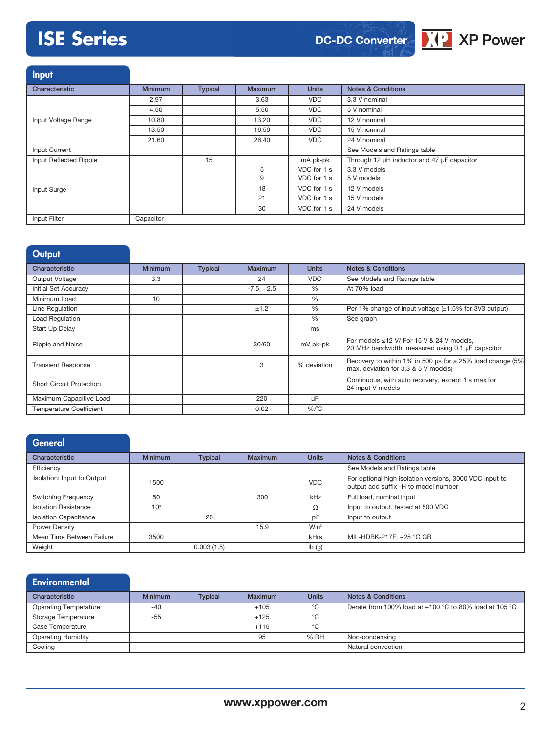# **ISE Series**





**Input** 

| Characteristic         | <b>Minimum</b> | <b>Typical</b> | <b>Maximum</b> | <b>Units</b> | <b>Notes &amp; Conditions</b>              |
|------------------------|----------------|----------------|----------------|--------------|--------------------------------------------|
|                        |                |                |                |              |                                            |
|                        | 2.97           |                | 3.63           | <b>VDC</b>   | 3.3 V nominal                              |
|                        | 4.50           |                | 5.50           | VDC.         | 5 V nominal                                |
| Input Voltage Range    | 10.80          |                | 13.20          | <b>VDC</b>   | 12 V nominal                               |
|                        | 13.50          |                | 16.50          | VDC.         | 15 V nominal                               |
|                        | 21.60          |                | 26.40          | VDC.         | 24 V nominal                               |
| Input Current          |                |                |                |              | See Models and Ratings table               |
| Input Reflected Ripple |                | 15             |                | mA pk-pk     | Through 12 µH inductor and 47 µF capacitor |
|                        |                |                | 5              | VDC for 1 s  | 3.3 V models                               |
|                        |                |                | 9              | VDC for 1 s  | 5 V models                                 |
| Input Surge            |                |                | 18             | VDC for 1 s  | 12 V models                                |
|                        |                |                | 21             | VDC for 1 s  | 15 V models                                |
|                        |                |                | 30             | VDC for 1 s  | 24 V models                                |
| Input Filter           | Capacitor      |                |                |              |                                            |

| <b>Output</b>                   |                |                |                |              |                                                                                                      |
|---------------------------------|----------------|----------------|----------------|--------------|------------------------------------------------------------------------------------------------------|
| Characteristic                  | <b>Minimum</b> | <b>Typical</b> | <b>Maximum</b> | <b>Units</b> | <b>Notes &amp; Conditions</b>                                                                        |
| Output Voltage                  | 3.3            |                | 24             | <b>VDC</b>   | See Models and Ratings table                                                                         |
| Initial Set Accuracy            |                |                | $-7.5, +2.5$   | $\%$         | At 70% load                                                                                          |
| Minimum Load                    | 10             |                |                | %            |                                                                                                      |
| Line Regulation                 |                |                | ±1.2           | %            | Per 1% change of input voltage $(\pm 1.5\%$ for 3V3 output)                                          |
| Load Regulation                 |                |                |                | %            | See graph                                                                                            |
| Start Up Delay                  |                |                |                | ms           |                                                                                                      |
| Ripple and Noise                |                |                | 30/60          | mV pk-pk     | For models $\leq$ 12 V/ For 15 V & 24 V models.<br>20 MHz bandwidth, measured using 0.1 µF capacitor |
| <b>Transient Response</b>       |                |                | 3              | % deviation  | Recovery to within 1% in 500 us for a 25% load change (5%)<br>max. deviation for 3.3 & 5 V models)   |
| <b>Short Circuit Protection</b> |                |                |                |              | Continuous, with auto recovery, except 1 s max for<br>24 input V models                              |
| Maximum Capacitive Load         |                |                | 220            | μF           |                                                                                                      |
| <b>Temperature Coefficient</b>  |                |                | 0.02           | $%$ $C$      |                                                                                                      |

| General                      |                 |                |                |                  |                                                                                                 |
|------------------------------|-----------------|----------------|----------------|------------------|-------------------------------------------------------------------------------------------------|
| Characteristic               | <b>Minimum</b>  | <b>Typical</b> | <b>Maximum</b> | <b>Units</b>     | <b>Notes &amp; Conditions</b>                                                                   |
| Efficiency                   |                 |                |                |                  | See Models and Ratings table                                                                    |
| Isolation: Input to Output   | 1500            |                |                | <b>VDC</b>       | For optional high isolation versions, 3000 VDC input to<br>output add suffix -H to model number |
| <b>Switching Frequency</b>   | 50              |                | 300            | kHz              | Full load, nominal input                                                                        |
| <b>Isolation Resistance</b>  | 10 <sup>9</sup> |                |                | Ω                | Input to output, tested at 500 VDC                                                              |
| <b>Isolation Capacitance</b> |                 | 20             |                | pF               | Input to output                                                                                 |
| <b>Power Density</b>         |                 |                | 15.9           | Win <sup>3</sup> |                                                                                                 |
| Mean Time Between Failure    | 3500            |                |                | kHrs             | MIL-HDBK-217F, +25 °C GB                                                                        |
| Weight                       |                 | 0.003(1.5)     |                | Ib(g)            |                                                                                                 |

| Environmental                |                |                |         |              |                                                        |
|------------------------------|----------------|----------------|---------|--------------|--------------------------------------------------------|
| Characteristic               | <b>Minimum</b> | <b>Typical</b> | Maximum | <b>Units</b> | <b>Notes &amp; Conditions</b>                          |
| <b>Operating Temperature</b> | $-40$          |                | $+105$  | °C           | Derate from 100% load at +100 °C to 80% load at 105 °C |
| <b>Storage Temperature</b>   | $-55$          |                | $+125$  | °C           |                                                        |
| Case Temperature             |                |                | $+115$  | °€           |                                                        |
| <b>Operating Humidity</b>    |                |                | 95      | % RH         | Non-condensing                                         |
| Cooling                      |                |                |         |              | Natural convection                                     |